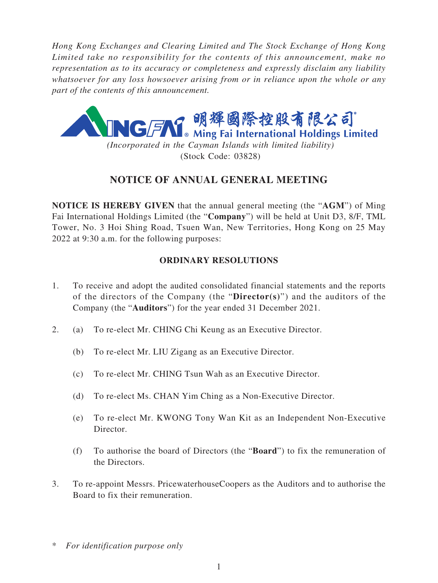*Hong Kong Exchanges and Clearing Limited and The Stock Exchange of Hong Kong Limited take no responsibility for the contents of this announcement, make no representation as to its accuracy or completeness and expressly disclaim any liability whatsoever for any loss howsoever arising from or in reliance upon the whole or any part of the contents of this announcement.*



*(Incorporated in the Cayman Islands with limited liability)* (Stock Code: 03828)

# **NOTICE OF ANNUAL GENERAL MEETING**

**NOTICE IS HEREBY GIVEN** that the annual general meeting (the "**AGM**") of Ming Fai International Holdings Limited (the "**Company**") will be held at Unit D3, 8/F, TML Tower, No. 3 Hoi Shing Road, Tsuen Wan, New Territories, Hong Kong on 25 May 2022 at 9:30 a.m. for the following purposes:

# **ORDINARY RESOLUTIONS**

- 1. To receive and adopt the audited consolidated financial statements and the reports of the directors of the Company (the "**Director(s)**") and the auditors of the Company (the "**Auditors**") for the year ended 31 December 2021.
- 2. (a) To re-elect Mr. CHING Chi Keung as an Executive Director.
	- (b) To re-elect Mr. LIU Zigang as an Executive Director.
	- (c) To re-elect Mr. CHING Tsun Wah as an Executive Director.
	- (d) To re-elect Ms. CHAN Yim Ching as a Non-Executive Director.
	- (e) To re-elect Mr. KWONG Tony Wan Kit as an Independent Non-Executive Director.
	- (f) To authorise the board of Directors (the "**Board**") to fix the remuneration of the Directors.
- 3. To re-appoint Messrs. PricewaterhouseCoopers as the Auditors and to authorise the Board to fix their remuneration.

<sup>\*</sup> *For identification purpose only*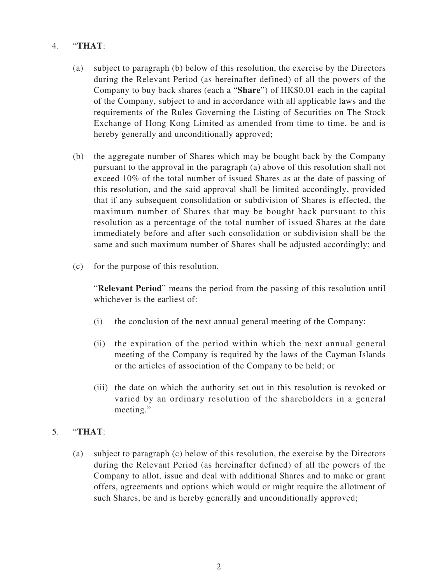# 4. "**THAT**:

- (a) subject to paragraph (b) below of this resolution, the exercise by the Directors during the Relevant Period (as hereinafter defined) of all the powers of the Company to buy back shares (each a "**Share**") of HK\$0.01 each in the capital of the Company, subject to and in accordance with all applicable laws and the requirements of the Rules Governing the Listing of Securities on The Stock Exchange of Hong Kong Limited as amended from time to time, be and is hereby generally and unconditionally approved;
- (b) the aggregate number of Shares which may be bought back by the Company pursuant to the approval in the paragraph (a) above of this resolution shall not exceed 10% of the total number of issued Shares as at the date of passing of this resolution, and the said approval shall be limited accordingly, provided that if any subsequent consolidation or subdivision of Shares is effected, the maximum number of Shares that may be bought back pursuant to this resolution as a percentage of the total number of issued Shares at the date immediately before and after such consolidation or subdivision shall be the same and such maximum number of Shares shall be adjusted accordingly; and
- (c) for the purpose of this resolution,

"**Relevant Period**" means the period from the passing of this resolution until whichever is the earliest of:

- (i) the conclusion of the next annual general meeting of the Company;
- (ii) the expiration of the period within which the next annual general meeting of the Company is required by the laws of the Cayman Islands or the articles of association of the Company to be held; or
- (iii) the date on which the authority set out in this resolution is revoked or varied by an ordinary resolution of the shareholders in a general meeting."

## 5. "**THAT**:

(a) subject to paragraph (c) below of this resolution, the exercise by the Directors during the Relevant Period (as hereinafter defined) of all the powers of the Company to allot, issue and deal with additional Shares and to make or grant offers, agreements and options which would or might require the allotment of such Shares, be and is hereby generally and unconditionally approved;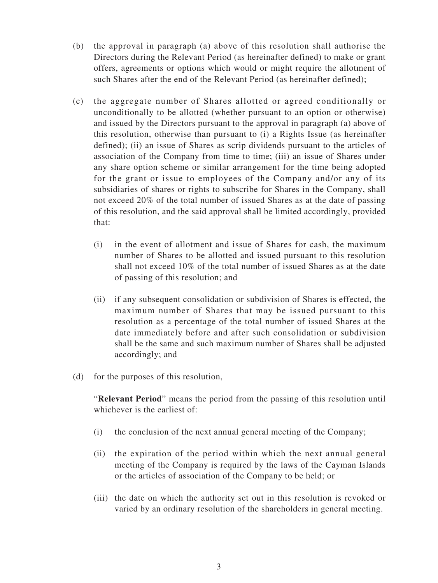- (b) the approval in paragraph (a) above of this resolution shall authorise the Directors during the Relevant Period (as hereinafter defined) to make or grant offers, agreements or options which would or might require the allotment of such Shares after the end of the Relevant Period (as hereinafter defined);
- (c) the aggregate number of Shares allotted or agreed conditionally or unconditionally to be allotted (whether pursuant to an option or otherwise) and issued by the Directors pursuant to the approval in paragraph (a) above of this resolution, otherwise than pursuant to (i) a Rights Issue (as hereinafter defined); (ii) an issue of Shares as scrip dividends pursuant to the articles of association of the Company from time to time; (iii) an issue of Shares under any share option scheme or similar arrangement for the time being adopted for the grant or issue to employees of the Company and/or any of its subsidiaries of shares or rights to subscribe for Shares in the Company, shall not exceed 20% of the total number of issued Shares as at the date of passing of this resolution, and the said approval shall be limited accordingly, provided that:
	- (i) in the event of allotment and issue of Shares for cash, the maximum number of Shares to be allotted and issued pursuant to this resolution shall not exceed 10% of the total number of issued Shares as at the date of passing of this resolution; and
	- (ii) if any subsequent consolidation or subdivision of Shares is effected, the maximum number of Shares that may be issued pursuant to this resolution as a percentage of the total number of issued Shares at the date immediately before and after such consolidation or subdivision shall be the same and such maximum number of Shares shall be adjusted accordingly; and
- (d) for the purposes of this resolution,

"**Relevant Period**" means the period from the passing of this resolution until whichever is the earliest of:

- (i) the conclusion of the next annual general meeting of the Company;
- (ii) the expiration of the period within which the next annual general meeting of the Company is required by the laws of the Cayman Islands or the articles of association of the Company to be held; or
- (iii) the date on which the authority set out in this resolution is revoked or varied by an ordinary resolution of the shareholders in general meeting.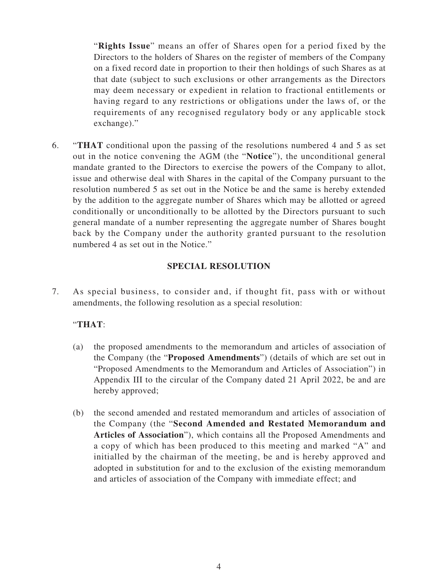"**Rights Issue**" means an offer of Shares open for a period fixed by the Directors to the holders of Shares on the register of members of the Company on a fixed record date in proportion to their then holdings of such Shares as at that date (subject to such exclusions or other arrangements as the Directors may deem necessary or expedient in relation to fractional entitlements or having regard to any restrictions or obligations under the laws of, or the requirements of any recognised regulatory body or any applicable stock exchange)."

6. "**THAT** conditional upon the passing of the resolutions numbered 4 and 5 as set out in the notice convening the AGM (the "**Notice**"), the unconditional general mandate granted to the Directors to exercise the powers of the Company to allot, issue and otherwise deal with Shares in the capital of the Company pursuant to the resolution numbered 5 as set out in the Notice be and the same is hereby extended by the addition to the aggregate number of Shares which may be allotted or agreed conditionally or unconditionally to be allotted by the Directors pursuant to such general mandate of a number representing the aggregate number of Shares bought back by the Company under the authority granted pursuant to the resolution numbered 4 as set out in the Notice."

## **SPECIAL RESOLUTION**

7. As special business, to consider and, if thought fit, pass with or without amendments, the following resolution as a special resolution:

## "**THAT**:

- (a) the proposed amendments to the memorandum and articles of association of the Company (the "**Proposed Amendments**") (details of which are set out in "Proposed Amendments to the Memorandum and Articles of Association") in Appendix III to the circular of the Company dated 21 April 2022, be and are hereby approved;
- (b) the second amended and restated memorandum and articles of association of the Company (the "**Second Amended and Restated Memorandum and Articles of Association**"), which contains all the Proposed Amendments and a copy of which has been produced to this meeting and marked "A" and initialled by the chairman of the meeting, be and is hereby approved and adopted in substitution for and to the exclusion of the existing memorandum and articles of association of the Company with immediate effect; and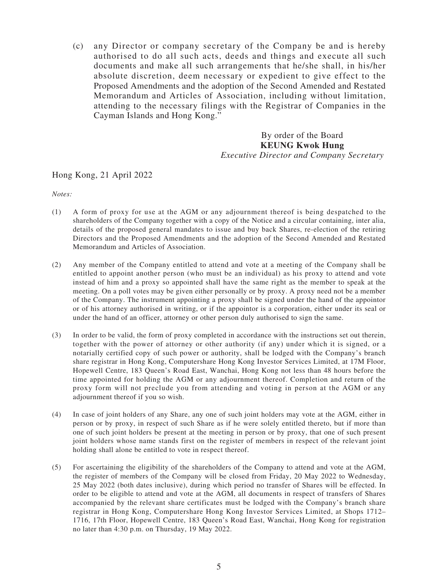(c) any Director or company secretary of the Company be and is hereby authorised to do all such acts, deeds and things and execute all such documents and make all such arrangements that he/she shall, in his/her absolute discretion, deem necessary or expedient to give effect to the Proposed Amendments and the adoption of the Second Amended and Restated Memorandum and Articles of Association, including without limitation, attending to the necessary filings with the Registrar of Companies in the Cayman Islands and Hong Kong."

> By order of the Board **KEUNG Kwok Hung** *Executive Director and Company Secretary*

#### Hong Kong, 21 April 2022

*Notes:*

- (1) A form of proxy for use at the AGM or any adjournment thereof is being despatched to the shareholders of the Company together with a copy of the Notice and a circular containing, inter alia, details of the proposed general mandates to issue and buy back Shares, re-election of the retiring Directors and the Proposed Amendments and the adoption of the Second Amended and Restated Memorandum and Articles of Association.
- (2) Any member of the Company entitled to attend and vote at a meeting of the Company shall be entitled to appoint another person (who must be an individual) as his proxy to attend and vote instead of him and a proxy so appointed shall have the same right as the member to speak at the meeting. On a poll votes may be given either personally or by proxy. A proxy need not be a member of the Company. The instrument appointing a proxy shall be signed under the hand of the appointor or of his attorney authorised in writing, or if the appointor is a corporation, either under its seal or under the hand of an officer, attorney or other person duly authorised to sign the same.
- (3) In order to be valid, the form of proxy completed in accordance with the instructions set out therein, together with the power of attorney or other authority (if any) under which it is signed, or a notarially certified copy of such power or authority, shall be lodged with the Company's branch share registrar in Hong Kong, Computershare Hong Kong Investor Services Limited, at 17M Floor, Hopewell Centre, 183 Queen's Road East, Wanchai, Hong Kong not less than 48 hours before the time appointed for holding the AGM or any adjournment thereof. Completion and return of the proxy form will not preclude you from attending and voting in person at the AGM or any adjournment thereof if you so wish.
- (4) In case of joint holders of any Share, any one of such joint holders may vote at the AGM, either in person or by proxy, in respect of such Share as if he were solely entitled thereto, but if more than one of such joint holders be present at the meeting in person or by proxy, that one of such present joint holders whose name stands first on the register of members in respect of the relevant joint holding shall alone be entitled to vote in respect thereof.
- (5) For ascertaining the eligibility of the shareholders of the Company to attend and vote at the AGM, the register of members of the Company will be closed from Friday, 20 May 2022 to Wednesday, 25 May 2022 (both dates inclusive), during which period no transfer of Shares will be effected. In order to be eligible to attend and vote at the AGM, all documents in respect of transfers of Shares accompanied by the relevant share certificates must be lodged with the Company's branch share registrar in Hong Kong, Computershare Hong Kong Investor Services Limited, at Shops 1712– 1716, 17th Floor, Hopewell Centre, 183 Queen's Road East, Wanchai, Hong Kong for registration no later than 4:30 p.m. on Thursday, 19 May 2022.